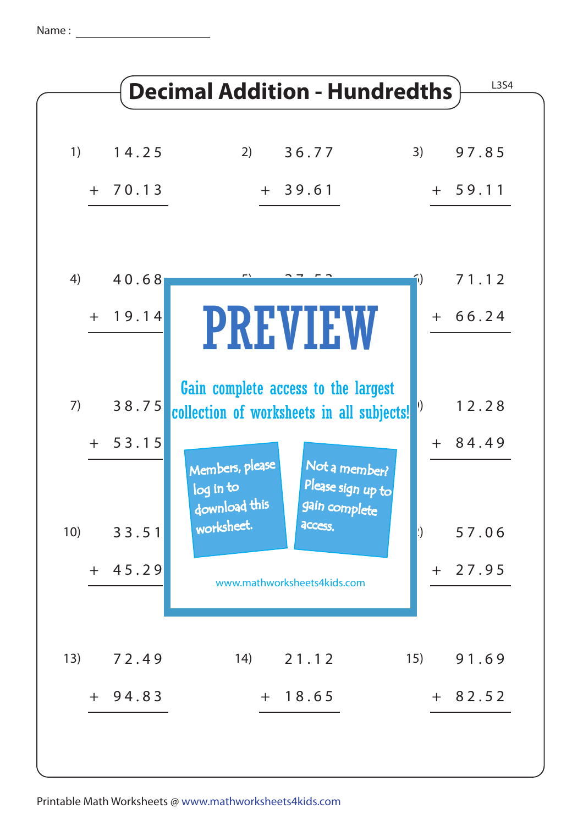